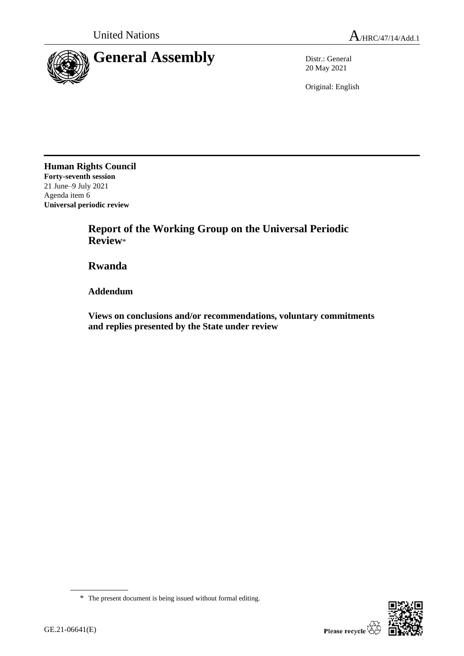

20 May 2021

Original: English

**Human Rights Council Forty-seventh session** 21 June–9 July 2021 Agenda item 6 **Universal periodic review**

> **Report of the Working Group on the Universal Periodic Review**\*

**Rwanda**

**Addendum**

**Views on conclusions and/or recommendations, voluntary commitments and replies presented by the State under review**



<sup>\*</sup> The present document is being issued without formal editing.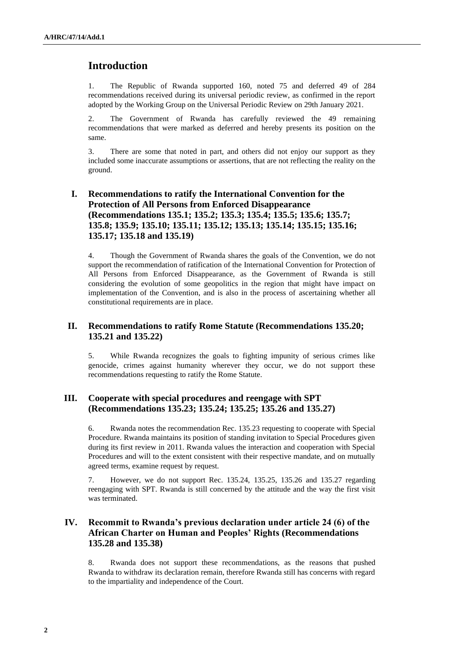# **Introduction**

1. The Republic of Rwanda supported 160, noted 75 and deferred 49 of 284 recommendations received during its universal periodic review, as confirmed in the report adopted by the Working Group on the Universal Periodic Review on 29th January 2021.

2. The Government of Rwanda has carefully reviewed the 49 remaining recommendations that were marked as deferred and hereby presents its position on the same.

3. There are some that noted in part, and others did not enjoy our support as they included some inaccurate assumptions or assertions, that are not reflecting the reality on the ground.

# **I. Recommendations to ratify the International Convention for the Protection of All Persons from Enforced Disappearance (Recommendations 135.1; 135.2; 135.3; 135.4; 135.5; 135.6; 135.7; 135.8; 135.9; 135.10; 135.11; 135.12; 135.13; 135.14; 135.15; 135.16; 135.17; 135.18 and 135.19)**

4. Though the Government of Rwanda shares the goals of the Convention, we do not support the recommendation of ratification of the International Convention for Protection of All Persons from Enforced Disappearance, as the Government of Rwanda is still considering the evolution of some geopolitics in the region that might have impact on implementation of the Convention, and is also in the process of ascertaining whether all constitutional requirements are in place.

### **II. Recommendations to ratify Rome Statute (Recommendations 135.20; 135.21 and 135.22)**

5. While Rwanda recognizes the goals to fighting impunity of serious crimes like genocide, crimes against humanity wherever they occur, we do not support these recommendations requesting to ratify the Rome Statute.

### **III. Cooperate with special procedures and reengage with SPT (Recommendations 135.23; 135.24; 135.25; 135.26 and 135.27)**

6. Rwanda notes the recommendation Rec. 135.23 requesting to cooperate with Special Procedure. Rwanda maintains its position of standing invitation to Special Procedures given during its first review in 2011. Rwanda values the interaction and cooperation with Special Procedures and will to the extent consistent with their respective mandate, and on mutually agreed terms, examine request by request.

7. However, we do not support Rec. 135.24, 135.25, 135.26 and 135.27 regarding reengaging with SPT. Rwanda is still concerned by the attitude and the way the first visit was terminated.

# **IV. Recommit to Rwanda's previous declaration under article 24 (6) of the African Charter on Human and Peoples' Rights (Recommendations 135.28 and 135.38)**

8. Rwanda does not support these recommendations, as the reasons that pushed Rwanda to withdraw its declaration remain, therefore Rwanda still has concerns with regard to the impartiality and independence of the Court.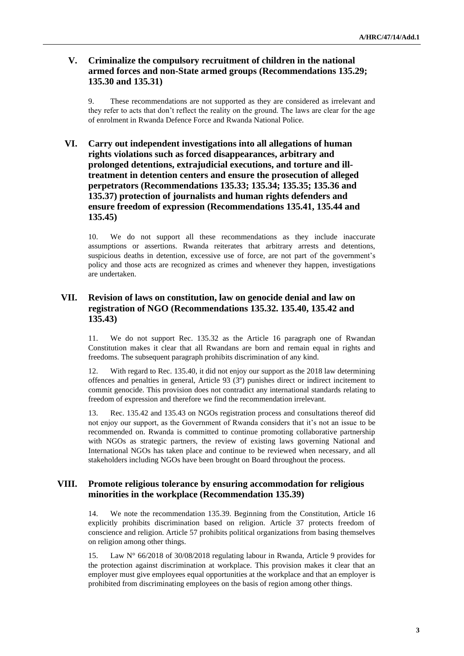### **V. Criminalize the compulsory recruitment of children in the national armed forces and non-State armed groups (Recommendations 135.29; 135.30 and 135.31)**

9. These recommendations are not supported as they are considered as irrelevant and they refer to acts that don't reflect the reality on the ground. The laws are clear for the age of enrolment in Rwanda Defence Force and Rwanda National Police.

# **VI. Carry out independent investigations into all allegations of human rights violations such as forced disappearances, arbitrary and prolonged detentions, extrajudicial executions, and torture and illtreatment in detention centers and ensure the prosecution of alleged perpetrators (Recommendations 135.33; 135.34; 135.35; 135.36 and 135.37) protection of journalists and human rights defenders and ensure freedom of expression (Recommendations 135.41, 135.44 and 135.45)**

10. We do not support all these recommendations as they include inaccurate assumptions or assertions. Rwanda reiterates that arbitrary arrests and detentions, suspicious deaths in detention, excessive use of force, are not part of the government's policy and those acts are recognized as crimes and whenever they happen, investigations are undertaken.

## **VII. Revision of laws on constitution, law on genocide denial and law on registration of NGO (Recommendations 135.32. 135.40, 135.42 and 135.43)**

11. We do not support Rec. 135.32 as the Article 16 paragraph one of Rwandan Constitution makes it clear that all Rwandans are born and remain equal in rights and freedoms. The subsequent paragraph prohibits discrimination of any kind.

12. With regard to Rec. 135.40, it did not enjoy our support as the 2018 law determining offences and penalties in general, Article 93 (3º) punishes direct or indirect incitement to commit genocide. This provision does not contradict any international standards relating to freedom of expression and therefore we find the recommendation irrelevant.

13. Rec. 135.42 and 135.43 on NGOs registration process and consultations thereof did not enjoy our support, as the Government of Rwanda considers that it's not an issue to be recommended on. Rwanda is committed to continue promoting collaborative partnership with NGOs as strategic partners, the review of existing laws governing National and International NGOs has taken place and continue to be reviewed when necessary, and all stakeholders including NGOs have been brought on Board throughout the process.

### **VIII. Promote religious tolerance by ensuring accommodation for religious minorities in the workplace (Recommendation 135.39)**

14. We note the recommendation 135.39. Beginning from the Constitution, Article 16 explicitly prohibits discrimination based on religion. Article 37 protects freedom of conscience and religion. Article 57 prohibits political organizations from basing themselves on religion among other things.

15. Law N° 66/2018 of 30/08/2018 regulating labour in Rwanda, Article 9 provides for the protection against discrimination at workplace. This provision makes it clear that an employer must give employees equal opportunities at the workplace and that an employer is prohibited from discriminating employees on the basis of region among other things.